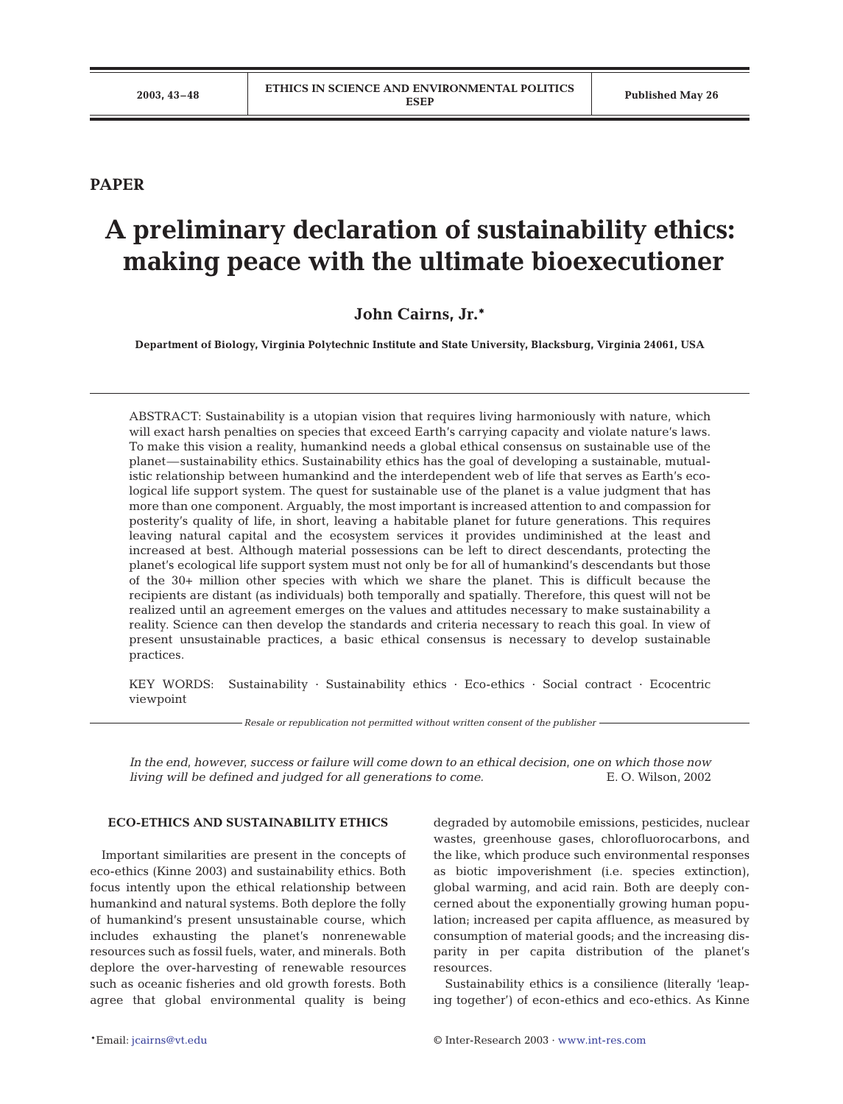# **PAPER**

# **A preliminary declaration of sustainability ethics: making peace with the ultimate bioexecutioner**

# **John Cairns, Jr.\***

**Department of Biology, Virginia Polytechnic Institute and State University, Blacksburg, Virginia 24061, USA**

ABSTRACT: Sustainability is a utopian vision that requires living harmoniously with nature, which will exact harsh penalties on species that exceed Earth's carrying capacity and violate nature's laws. To make this vision a reality, humankind needs a global ethical consensus on sustainable use of the planet—sustainability ethics. Sustainability ethics has the goal of developing a sustainable, mutualistic relationship between humankind and the interdependent web of life that serves as Earth's ecological life support system. The quest for sustainable use of the planet is a value judgment that has more than one component. Arguably, the most important is increased attention to and compassion for posterity's quality of life, in short, leaving a habitable planet for future generations. This requires leaving natural capital and the ecosystem services it provides undiminished at the least and increased at best. Although material possessions can be left to direct descendants, protecting the planet's ecological life support system must not only be for all of humankind's descendants but those of the 30+ million other species with which we share the planet. This is difficult because the recipients are distant (as individuals) both temporally and spatially. Therefore, this quest will not be realized until an agreement emerges on the values and attitudes necessary to make sustainability a reality. Science can then develop the standards and criteria necessary to reach this goal. In view of present unsustainable practices, a basic ethical consensus is necessary to develop sustainable practices.

KEY WORDS: Sustainability · Sustainability ethics · Eco-ethics · Social contract · Ecocentric viewpoint

*Resale or republication not permitted without written consent of the publisher*

*In the end, however, success or failure will come down to an ethical decision, one on which those now living will be defined and judged for all generations to come.* E. O. Wilson, 2002

## **ECO-ETHICS AND SUSTAINABILITY ETHICS**

Important similarities are present in the concepts of eco-ethics (Kinne 2003) and sustainability ethics. Both focus intently upon the ethical relationship between humankind and natural systems. Both deplore the folly of humankind's present unsustainable course, which includes exhausting the planet's nonrenewable resources such as fossil fuels, water, and minerals. Both deplore the over-harvesting of renewable resources such as oceanic fisheries and old growth forests. Both agree that global environmental quality is being

degraded by automobile emissions, pesticides, nuclear wastes, greenhouse gases, chlorofluorocarbons, and the like, which produce such environmental responses as biotic impoverishment (i.e. species extinction), global warming, and acid rain. Both are deeply concerned about the exponentially growing human population; increased per capita affluence, as measured by consumption of material goods; and the increasing disparity in per capita distribution of the planet's resources.

Sustainability ethics is a consilience (literally 'leaping together') of econ-ethics and eco-ethics. As Kinne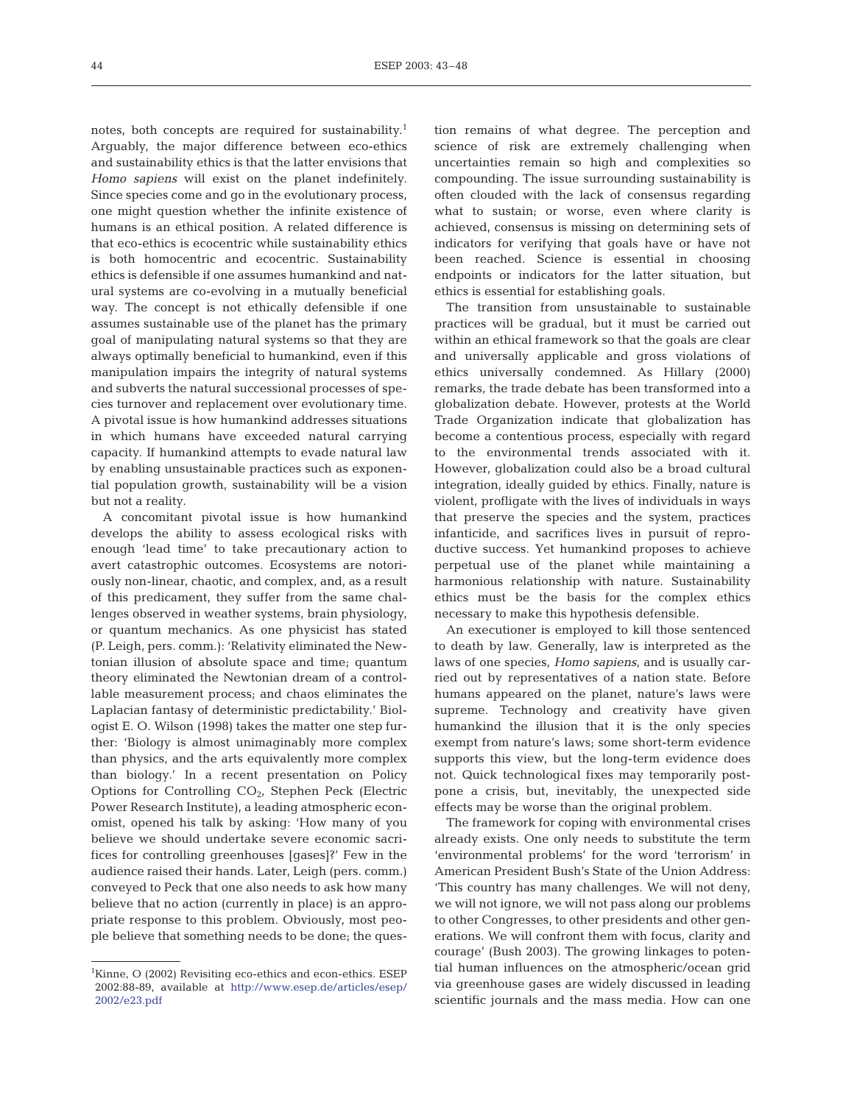notes, both concepts are required for sustainability.<sup>1</sup> Arguably, the major difference between eco-ethics and sustainability ethics is that the latter envisions that *Homo sapiens* will exist on the planet indefinitely. Since species come and go in the evolutionary process, one might question whether the infinite existence of humans is an ethical position. A related difference is that eco-ethics is ecocentric while sustainability ethics is both homocentric and ecocentric. Sustainability ethics is defensible if one assumes humankind and natural systems are co-evolving in a mutually beneficial way. The concept is not ethically defensible if one assumes sustainable use of the planet has the primary goal of manipulating natural systems so that they are always optimally beneficial to humankind, even if this manipulation impairs the integrity of natural systems and subverts the natural successional processes of species turnover and replacement over evolutionary time. A pivotal issue is how humankind addresses situations in which humans have exceeded natural carrying capacity. If humankind attempts to evade natural law by enabling unsustainable practices such as exponential population growth, sustainability will be a vision but not a reality.

A concomitant pivotal issue is how humankind develops the ability to assess ecological risks with enough 'lead time' to take precautionary action to avert catastrophic outcomes. Ecosystems are notoriously non-linear, chaotic, and complex, and, as a result of this predicament, they suffer from the same challenges observed in weather systems, brain physiology, or quantum mechanics. As one physicist has stated (P. Leigh, pers. comm.): 'Relativity eliminated the Newtonian illusion of absolute space and time; quantum theory eliminated the Newtonian dream of a controllable measurement process; and chaos eliminates the Laplacian fantasy of deterministic predictability.' Biologist E. O. Wilson (1998) takes the matter one step further: 'Biology is almost unimaginably more complex than physics, and the arts equivalently more complex than biology.' In a recent presentation on Policy Options for Controlling  $CO<sub>2</sub>$ , Stephen Peck (Electric Power Research Institute), a leading atmospheric economist, opened his talk by asking: 'How many of you believe we should undertake severe economic sacrifices for controlling greenhouses [gases]?' Few in the audience raised their hands. Later, Leigh (pers. comm.) conveyed to Peck that one also needs to ask how many believe that no action (currently in place) is an appropriate response to this problem. Obviously, most people believe that something needs to be done; the ques-

<sup>1</sup>Kinne, O (2002) Revisiting eco-ethics and econ-ethics. ESEP 2002:88-89, available at [http://www.esep.de/articles/esep/](http://www.esep.de/articles/esep/ 2002/e23.pdf) [2002/e23.pdf](http://www.esep.de/articles/esep/ 2002/e23.pdf)

tion remains of what degree. The perception and science of risk are extremely challenging when uncertainties remain so high and complexities so compounding. The issue surrounding sustainability is often clouded with the lack of consensus regarding what to sustain; or worse, even where clarity is achieved, consensus is missing on determining sets of indicators for verifying that goals have or have not been reached. Science is essential in choosing endpoints or indicators for the latter situation, but ethics is essential for establishing goals.

The transition from unsustainable to sustainable practices will be gradual, but it must be carried out within an ethical framework so that the goals are clear and universally applicable and gross violations of ethics universally condemned. As Hillary (2000) remarks, the trade debate has been transformed into a globalization debate. However, protests at the World Trade Organization indicate that globalization has become a contentious process, especially with regard to the environmental trends associated with it. However, globalization could also be a broad cultural integration, ideally guided by ethics. Finally, nature is violent, profligate with the lives of individuals in ways that preserve the species and the system, practices infanticide, and sacrifices lives in pursuit of reproductive success. Yet humankind proposes to achieve perpetual use of the planet while maintaining a harmonious relationship with nature. Sustainability ethics must be the basis for the complex ethics necessary to make this hypothesis defensible.

An executioner is employed to kill those sentenced to death by law. Generally, law is interpreted as the laws of one species, *Homo sapiens,* and is usually carried out by representatives of a nation state. Before humans appeared on the planet, nature's laws were supreme. Technology and creativity have given humankind the illusion that it is the only species exempt from nature's laws; some short-term evidence supports this view, but the long-term evidence does not. Quick technological fixes may temporarily postpone a crisis, but, inevitably, the unexpected side effects may be worse than the original problem.

The framework for coping with environmental crises already exists. One only needs to substitute the term 'environmental problems' for the word 'terrorism' in American President Bush's State of the Union Address: 'This country has many challenges. We will not deny, we will not ignore, we will not pass along our problems to other Congresses, to other presidents and other generations. We will confront them with focus, clarity and courage' (Bush 2003). The growing linkages to potential human influences on the atmospheric/ocean grid via greenhouse gases are widely discussed in leading scientific journals and the mass media. How can one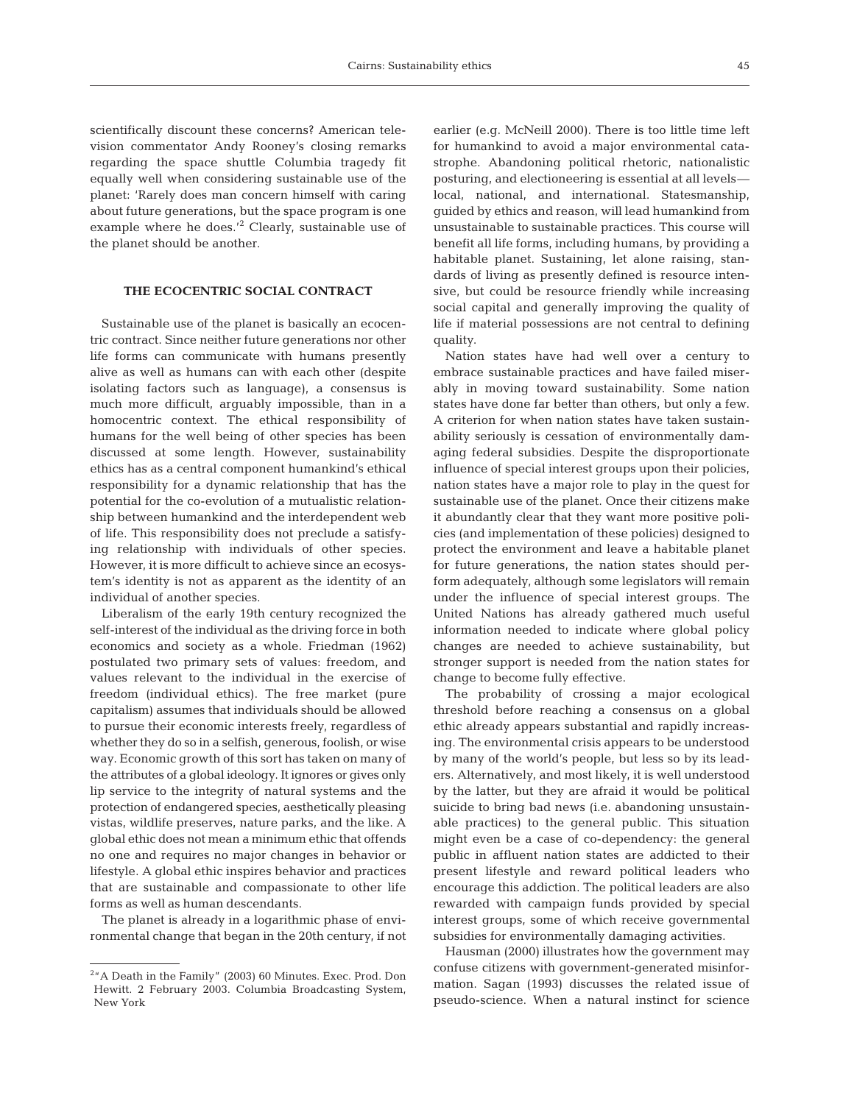scientifically discount these concerns? American television commentator Andy Rooney's closing remarks regarding the space shuttle Columbia tragedy fit equally well when considering sustainable use of the planet: 'Rarely does man concern himself with caring about future generations, but the space program is one example where he does.<sup>'2</sup> Clearly, sustainable use of the planet should be another.

## **THE ECOCENTRIC SOCIAL CONTRACT**

Sustainable use of the planet is basically an ecocentric contract. Since neither future generations nor other life forms can communicate with humans presently alive as well as humans can with each other (despite isolating factors such as language), a consensus is much more difficult, arguably impossible, than in a homocentric context. The ethical responsibility of humans for the well being of other species has been discussed at some length. However, sustainability ethics has as a central component humankind's ethical responsibility for a dynamic relationship that has the potential for the co-evolution of a mutualistic relationship between humankind and the interdependent web of life. This responsibility does not preclude a satisfying relationship with individuals of other species. However, it is more difficult to achieve since an ecosystem's identity is not as apparent as the identity of an individual of another species.

Liberalism of the early 19th century recognized the self-interest of the individual as the driving force in both economics and society as a whole. Friedman (1962) postulated two primary sets of values: freedom, and values relevant to the individual in the exercise of freedom (individual ethics). The free market (pure capitalism) assumes that individuals should be allowed to pursue their economic interests freely, regardless of whether they do so in a selfish, generous, foolish, or wise way. Economic growth of this sort has taken on many of the attributes of a global ideology. It ignores or gives only lip service to the integrity of natural systems and the protection of endangered species, aesthetically pleasing vistas, wildlife preserves, nature parks, and the like. A global ethic does not mean a minimum ethic that offends no one and requires no major changes in behavior or lifestyle. A global ethic inspires behavior and practices that are sustainable and compassionate to other life forms as well as human descendants.

The planet is already in a logarithmic phase of environmental change that began in the 20th century, if not

earlier (e.g. McNeill 2000). There is too little time left for humankind to avoid a major environmental catastrophe. Abandoning political rhetoric, nationalistic posturing, and electioneering is essential at all levels local, national, and international. Statesmanship, guided by ethics and reason, will lead humankind from unsustainable to sustainable practices. This course will benefit all life forms, including humans, by providing a habitable planet. Sustaining, let alone raising, standards of living as presently defined is resource intensive, but could be resource friendly while increasing social capital and generally improving the quality of life if material possessions are not central to defining quality.

Nation states have had well over a century to embrace sustainable practices and have failed miserably in moving toward sustainability. Some nation states have done far better than others, but only a few. A criterion for when nation states have taken sustainability seriously is cessation of environmentally damaging federal subsidies. Despite the disproportionate influence of special interest groups upon their policies, nation states have a major role to play in the quest for sustainable use of the planet. Once their citizens make it abundantly clear that they want more positive policies (and implementation of these policies) designed to protect the environment and leave a habitable planet for future generations, the nation states should perform adequately, although some legislators will remain under the influence of special interest groups. The United Nations has already gathered much useful information needed to indicate where global policy changes are needed to achieve sustainability, but stronger support is needed from the nation states for change to become fully effective.

The probability of crossing a major ecological threshold before reaching a consensus on a global ethic already appears substantial and rapidly increasing. The environmental crisis appears to be understood by many of the world's people, but less so by its leaders. Alternatively, and most likely, it is well understood by the latter, but they are afraid it would be political suicide to bring bad news (i.e. abandoning unsustainable practices) to the general public. This situation might even be a case of co-dependency: the general public in affluent nation states are addicted to their present lifestyle and reward political leaders who encourage this addiction. The political leaders are also rewarded with campaign funds provided by special interest groups, some of which receive governmental subsidies for environmentally damaging activities.

Hausman (2000) illustrates how the government may confuse citizens with government-generated misinformation. Sagan (1993) discusses the related issue of pseudo-science. When a natural instinct for science

 $2<sup>2</sup>$ <sup>4</sup> A Death in the Family" (2003) 60 Minutes. Exec. Prod. Don Hewitt. 2 February 2003. Columbia Broadcasting System, New York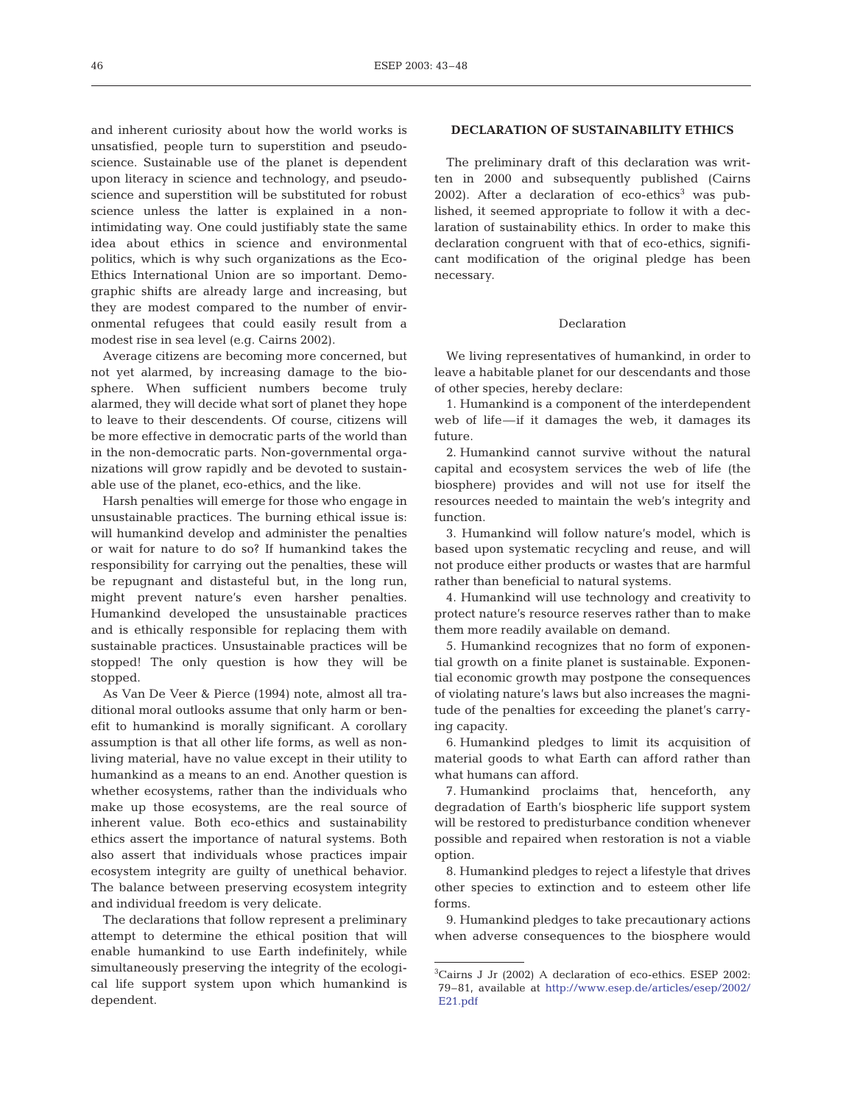and inherent curiosity about how the world works is unsatisfied, people turn to superstition and pseudoscience. Sustainable use of the planet is dependent upon literacy in science and technology, and pseudoscience and superstition will be substituted for robust science unless the latter is explained in a nonintimidating way. One could justifiably state the same idea about ethics in science and environmental politics, which is why such organizations as the Eco-Ethics International Union are so important. Demographic shifts are already large and increasing, but they are modest compared to the number of environmental refugees that could easily result from a modest rise in sea level (e.g. Cairns 2002).

Average citizens are becoming more concerned, but not yet alarmed, by increasing damage to the biosphere. When sufficient numbers become truly alarmed, they will decide what sort of planet they hope to leave to their descendents. Of course, citizens will be more effective in democratic parts of the world than in the non-democratic parts. Non-governmental organizations will grow rapidly and be devoted to sustainable use of the planet, eco-ethics, and the like.

Harsh penalties will emerge for those who engage in unsustainable practices. The burning ethical issue is: will humankind develop and administer the penalties or wait for nature to do so? If humankind takes the responsibility for carrying out the penalties, these will be repugnant and distasteful but, in the long run, might prevent nature's even harsher penalties. Humankind developed the unsustainable practices and is ethically responsible for replacing them with sustainable practices. Unsustainable practices will be stopped! The only question is how they will be stopped.

As Van De Veer & Pierce (1994) note, almost all traditional moral outlooks assume that only harm or benefit to humankind is morally significant. A corollary assumption is that all other life forms, as well as nonliving material, have no value except in their utility to humankind as a means to an end. Another question is whether ecosystems, rather than the individuals who make up those ecosystems, are the real source of inherent value. Both eco-ethics and sustainability ethics assert the importance of natural systems. Both also assert that individuals whose practices impair ecosystem integrity are guilty of unethical behavior. The balance between preserving ecosystem integrity and individual freedom is very delicate.

The declarations that follow represent a preliminary attempt to determine the ethical position that will enable humankind to use Earth indefinitely, while simultaneously preserving the integrity of the ecological life support system upon which humankind is dependent.

#### **DECLARATION OF SUSTAINABILITY ETHICS**

The preliminary draft of this declaration was written in 2000 and subsequently published (Cairns 2002). After a declaration of  $eco$ -ethics<sup>3</sup> was published, it seemed appropriate to follow it with a declaration of sustainability ethics. In order to make this declaration congruent with that of eco-ethics, significant modification of the original pledge has been necessary.

#### Declaration

We living representatives of humankind, in order to leave a habitable planet for our descendants and those of other species, hereby declare:

1. Humankind is a component of the interdependent web of life—if it damages the web, it damages its future.

2. Humankind cannot survive without the natural capital and ecosystem services the web of life (the biosphere) provides and will not use for itself the resources needed to maintain the web's integrity and function.

3. Humankind will follow nature's model, which is based upon systematic recycling and reuse, and will not produce either products or wastes that are harmful rather than beneficial to natural systems.

4. Humankind will use technology and creativity to protect nature's resource reserves rather than to make them more readily available on demand.

5. Humankind recognizes that no form of exponential growth on a finite planet is sustainable. Exponential economic growth may postpone the consequences of violating nature's laws but also increases the magnitude of the penalties for exceeding the planet's carrying capacity.

6. Humankind pledges to limit its acquisition of material goods to what Earth can afford rather than what humans can afford.

7. Humankind proclaims that, henceforth, any degradation of Earth's biospheric life support system will be restored to predisturbance condition whenever possible and repaired when restoration is not a viable option.

8. Humankind pledges to reject a lifestyle that drives other species to extinction and to esteem other life forms.

9. Humankind pledges to take precautionary actions when adverse consequences to the biosphere would

<sup>3</sup> Cairns J Jr (2002) A declaration of eco-ethics. ESEP 2002: 79–81, available at [http://www.esep.de/articles/esep/2002/](http://www.esep.de/articles/esep/ 2002/E21.pdf) [E21.pdf](http://www.esep.de/articles/esep/ 2002/E21.pdf)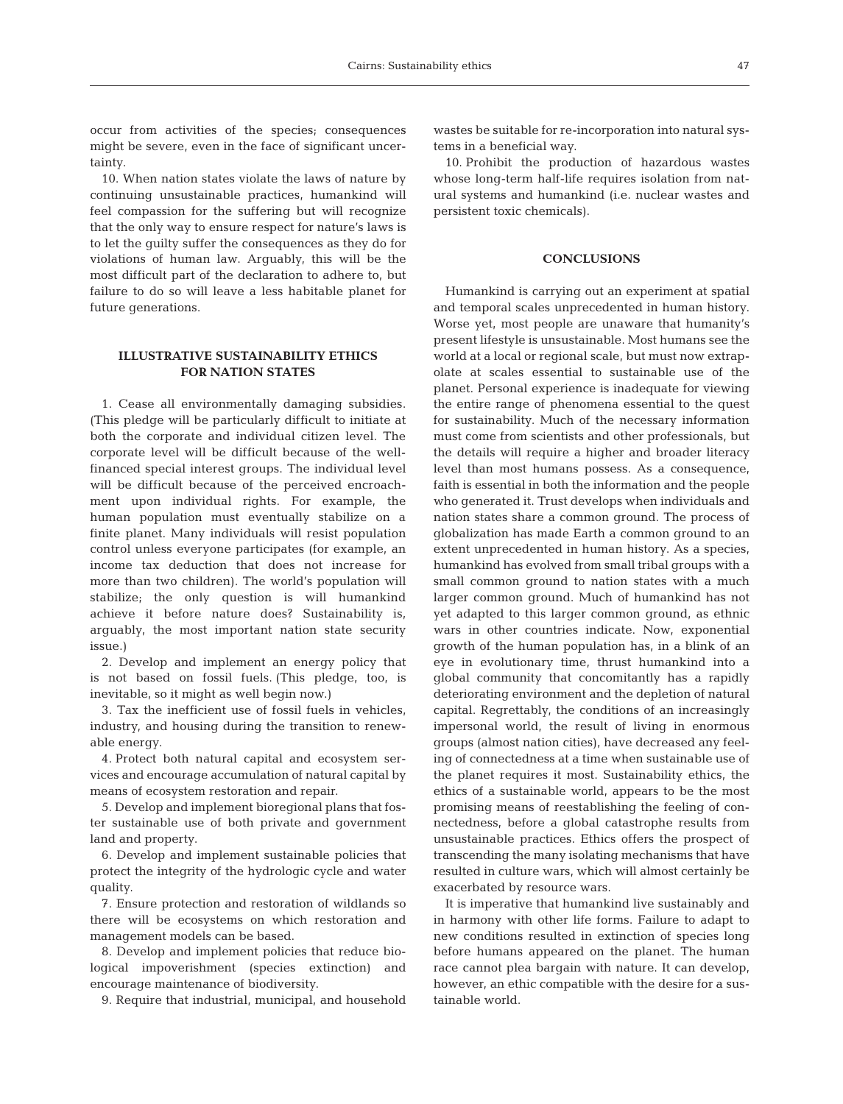occur from activities of the species; consequences might be severe, even in the face of significant uncertainty.

10. When nation states violate the laws of nature by continuing unsustainable practices, humankind will feel compassion for the suffering but will recognize that the only way to ensure respect for nature's laws is to let the guilty suffer the consequences as they do for violations of human law. Arguably, this will be the most difficult part of the declaration to adhere to, but failure to do so will leave a less habitable planet for future generations.

## **ILLUSTRATIVE SUSTAINABILITY ETHICS FOR NATION STATES**

1. Cease all environmentally damaging subsidies. (This pledge will be particularly difficult to initiate at both the corporate and individual citizen level. The corporate level will be difficult because of the wellfinanced special interest groups. The individual level will be difficult because of the perceived encroachment upon individual rights. For example, the human population must eventually stabilize on a finite planet. Many individuals will resist population control unless everyone participates (for example, an income tax deduction that does not increase for more than two children). The world's population will stabilize; the only question is will humankind achieve it before nature does? Sustainability is, arguably, the most important nation state security issue.)

2. Develop and implement an energy policy that is not based on fossil fuels. (This pledge, too, is inevitable, so it might as well begin now.)

3. Tax the inefficient use of fossil fuels in vehicles, industry, and housing during the transition to renewable energy.

4. Protect both natural capital and ecosystem services and encourage accumulation of natural capital by means of ecosystem restoration and repair.

5. Develop and implement bioregional plans that foster sustainable use of both private and government land and property.

6. Develop and implement sustainable policies that protect the integrity of the hydrologic cycle and water quality.

7. Ensure protection and restoration of wildlands so there will be ecosystems on which restoration and management models can be based.

8. Develop and implement policies that reduce biological impoverishment (species extinction) and encourage maintenance of biodiversity.

9. Require that industrial, municipal, and household

wastes be suitable for re-incorporation into natural systems in a beneficial way.

10. Prohibit the production of hazardous wastes whose long-term half-life requires isolation from natural systems and humankind (i.e. nuclear wastes and persistent toxic chemicals).

## **CONCLUSIONS**

Humankind is carrying out an experiment at spatial and temporal scales unprecedented in human history. Worse yet, most people are unaware that humanity's present lifestyle is unsustainable. Most humans see the world at a local or regional scale, but must now extrapolate at scales essential to sustainable use of the planet. Personal experience is inadequate for viewing the entire range of phenomena essential to the quest for sustainability. Much of the necessary information must come from scientists and other professionals, but the details will require a higher and broader literacy level than most humans possess. As a consequence, faith is essential in both the information and the people who generated it. Trust develops when individuals and nation states share a common ground. The process of globalization has made Earth a common ground to an extent unprecedented in human history. As a species, humankind has evolved from small tribal groups with a small common ground to nation states with a much larger common ground. Much of humankind has not yet adapted to this larger common ground, as ethnic wars in other countries indicate. Now, exponential growth of the human population has, in a blink of an eye in evolutionary time, thrust humankind into a global community that concomitantly has a rapidly deteriorating environment and the depletion of natural capital. Regrettably, the conditions of an increasingly impersonal world, the result of living in enormous groups (almost nation cities), have decreased any feeling of connectedness at a time when sustainable use of the planet requires it most. Sustainability ethics, the ethics of a sustainable world, appears to be the most promising means of reestablishing the feeling of connectedness, before a global catastrophe results from unsustainable practices. Ethics offers the prospect of transcending the many isolating mechanisms that have resulted in culture wars, which will almost certainly be exacerbated by resource wars.

It is imperative that humankind live sustainably and in harmony with other life forms. Failure to adapt to new conditions resulted in extinction of species long before humans appeared on the planet. The human race cannot plea bargain with nature. It can develop, however, an ethic compatible with the desire for a sustainable world.